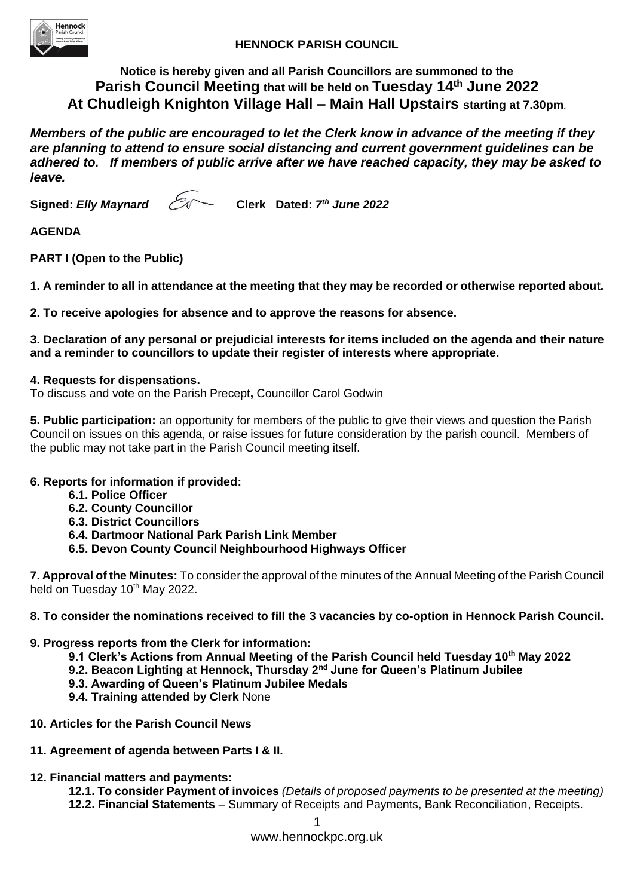

# **Notice is hereby given and all Parish Councillors are summoned to the Parish Council Meeting that will be held on Tuesday 14 th June 2022 At Chudleigh Knighton Village Hall – Main Hall Upstairs starting at 7.30pm***.*

*Members of the public are encouraged to let the Clerk know in advance of the meeting if they are planning to attend to ensure social distancing and current government guidelines can be adhered to. If members of public arrive after we have reached capacity, they may be asked to leave.*

**Signed:** *Elly Maynard*  $\mathcal{E}$ 

Clerk Dated: 7<sup>th</sup> June 2022

# **AGENDA**

**PART I (Open to the Public)**

**1. A reminder to all in attendance at the meeting that they may be recorded or otherwise reported about.** 

**2. To receive apologies for absence and to approve the reasons for absence.** 

**3. Declaration of any personal or prejudicial interests for items included on the agenda and their nature and a reminder to councillors to update their register of interests where appropriate.**

## **4. Requests for dispensations.**

To discuss and vote on the Parish Precept**,** Councillor Carol Godwin

**5. Public participation:** an opportunity for members of the public to give their views and question the Parish Council on issues on this agenda, or raise issues for future consideration by the parish council. Members of the public may not take part in the Parish Council meeting itself.

## **6. Reports for information if provided:**

- **6.1. Police Officer**
- **6.2. County Councillor**
- **6.3. District Councillors**
- **6.4. Dartmoor National Park Parish Link Member**
- **6.5. Devon County Council Neighbourhood Highways Officer**

**7. Approval of the Minutes:** To consider the approval of the minutes of the Annual Meeting of the Parish Council held on Tuesday 10<sup>th</sup> May 2022.

## **8. To consider the nominations received to fill the 3 vacancies by co-option in Hennock Parish Council.**

## **9. Progress reports from the Clerk for information:**

- **9.1 Clerk's Actions from Annual Meeting of the Parish Council held Tuesday 10th May 2022**
- **9.2. Beacon Lighting at Hennock, Thursday 2nd June for Queen's Platinum Jubilee**
- **9.3. Awarding of Queen's Platinum Jubilee Medals**
- **9.4. Training attended by Clerk** None
- **10. Articles for the Parish Council News**
- **11. Agreement of agenda between Parts I & II.**
- **12. Financial matters and payments:**

**12.1. To consider Payment of invoices** *(Details of proposed payments to be presented at the meeting)* **12.2. Financial Statements** – Summary of Receipts and Payments, Bank Reconciliation, Receipts.

www.hennockpc.org.uk